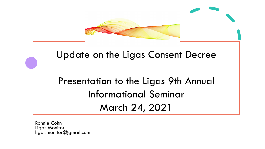

#### Update on the Ligas Consent Decree

# Presentation to the Ligas 9th Annual Informational Seminar March 24, 2021

Ronnie Cohn Ligas Monitor ligas.monitor@gmail.com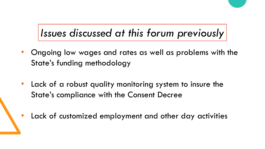# *Issues discussed at this forum previously*

- Ongoing low wages and rates as well as problems with the State's funding methodology
- Lack of a robust quality monitoring system to insure the State's compliance with the Consent Decree
- Lack of customized employment and other day activities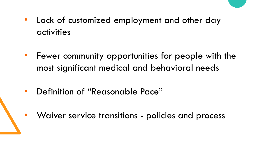- Lack of customized employment and other day activities
- Fewer community opportunities for people with the most significant medical and behavioral needs
- Definition of "Reasonable Pace"
- Waiver service transitions policies and process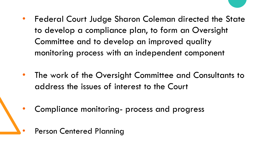- Federal Court Judge Sharon Coleman directed the State to develop a compliance plan, to form an Oversight Committee and to develop an improved quality monitoring process with an independent component
- The work of the Oversight Committee and Consultants to address the issues of interest to the Court
- Compliance monitoring- process and progress
	- Person Centered Planning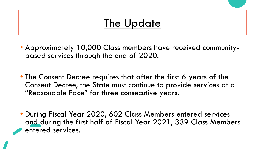## The Update

- Approximately 10,000 Class members have received community- based services through the end of 2020.
- The Consent Decree requires that after the first 6 years of the Consent Decree, the State must continue to provide services at a "Reasonable Pace" for three consecutive years.
- During Fiscal Year 2020, 602 Class Members entered services and during the first half of Fiscal Year 2021, 339 Class Members entered services.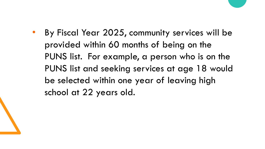• By Fiscal Year 2025, community services will be provided within 60 months of being on the PUNS list. For example, a person who is on the PUNS list and seeking services at age 18 would be selected within one year of leaving high school at 22 years old.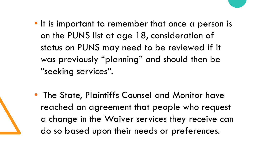- It is important to remember that once a person is on the PUNS list at age 18, consideration of status on PUNS may need to be reviewed if it was previously "planning" and should then be "seeking services".
- The State, Plaintiffs Counsel and Monitor have reached an agreement that people who request a change in the Waiver services they receive can do so based upon their needs or preferences.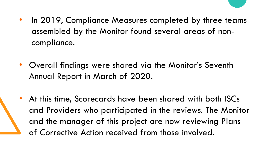- In 2019, Compliance Measures completed by three teams assembled by the Monitor found several areas of noncompliance.
- Overall findings were shared via the Monitor's Seventh Annual Report in March of 2020.
- At this time, Scorecards have been shared with both ISCs and Providers who participated in the reviews. The Monitor and the manager of this project are now reviewing Plans of Corrective Action received from those involved.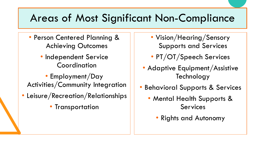## Areas of Most Significant Non-Compliance

- Person Centered Planning & Achieving Outcomes
	- Independent Service Coordination
- Employment/Day Activities/Community Integration
- Leisure/Recreation/Relationships
	- Transportation
- Vision/Hearing/Sensory Supports and Services
- PT/OT/Speech Services
- Adaptive Equipment/Assistive **Technology**
- Behavioral Supports & Services
	- Mental Health Supports & Services
		- Rights and Autonomy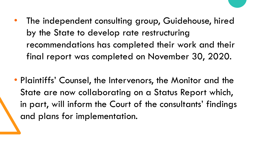- The independent consulting group, Guidehouse, hired by the State to develop rate restructuring recommendations has completed their work and their final report was completed on November 30, 2020.
- Plaintiffs' Counsel, the Intervenors, the Monitor and the State are now collaborating on a Status Report which, in part, will inform the Court of the consultants' findings and plans for implementation.